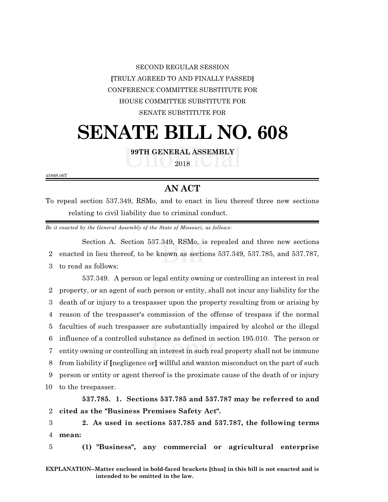## SECOND REGULAR SESSION **[**TRULY AGREED TO AND FINALLY PASSED**]** CONFERENCE COMMITTEE SUBSTITUTE FOR HOUSE COMMITTEE SUBSTITUTE FOR SENATE SUBSTITUTE FOR

## **SENATE BILL NO. 608**

**99TH GENERAL ASSEMBLY**

2018

4589S.06T

## **AN ACT**

To repeal section 537.349, RSMo, and to enact in lieu thereof three new sections relating to civil liability due to criminal conduct.

*Be it enacted by the General Assembly of the State of Missouri, as follows:*

Section A. Section 537.349, RSMo, is repealed and three new sections 2 enacted in lieu thereof, to be known as sections 537.349, 537.785, and 537.787,

3 to read as follows:

537.349. A person or legal entity owning or controlling an interest in real property, or an agent of such person or entity, shall not incur any liability for the death of or injury to a trespasser upon the property resulting from or arising by reason of the trespasser's commission of the offense of trespass if the normal faculties of such trespasser are substantially impaired by alcohol or the illegal influence of a controlled substance as defined in section 195.010. The person or entity owning or controlling an interest in such real property shall not be immune from liability if **[**negligence or**]** willful and wanton misconduct on the part of such person or entity or agent thereof is the proximate cause of the death of or injury to the trespasser.

**537.785. 1. Sections 537.785 and 537.787 may be referred to and** 2 **cited as the "Business Premises Safety Act".**

3 **2. As used in sections 537.785 and 537.787, the following terms** 4 **mean:**

5 **(1) "Business", any commercial or agricultural enterprise**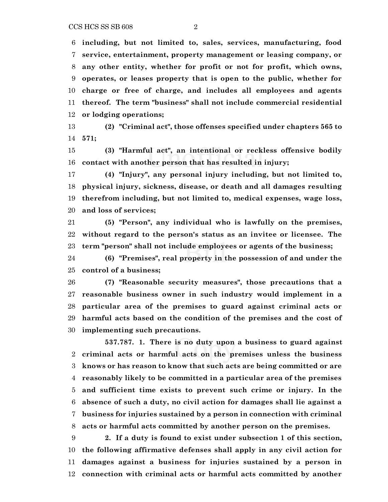**including, but not limited to, sales, services, manufacturing, food service, entertainment, property management or leasing company, or any other entity, whether for profit or not for profit, which owns, operates, or leases property that is open to the public, whether for charge or free of charge, and includes all employees and agents thereof. The term "business" shall not include commercial residential or lodging operations;**

 **(2) "Criminal act", those offenses specified under chapters 565 to 571;**

 **(3) "Harmful act", an intentional or reckless offensive bodily contact with another person that has resulted in injury;**

 **(4) "Injury", any personal injury including, but not limited to, physical injury, sickness, disease, or death and all damages resulting therefrom including, but not limited to, medical expenses, wage loss, and loss of services;**

 **(5) "Person", any individual who is lawfully on the premises, without regard to the person's status as an invitee or licensee. The term "person" shall not include employees or agents of the business;**

 **(6) "Premises", real property in the possession of and under the control of a business;**

 **(7) "Reasonable security measures", those precautions that a reasonable business owner in such industry would implement in a particular area of the premises to guard against criminal acts or harmful acts based on the condition of the premises and the cost of implementing such precautions.**

**537.787. 1. There is no duty upon a business to guard against criminal acts or harmful acts on the premises unless the business knows or has reason to know that such acts are being committed or are reasonably likely to be committed in a particular area of the premises and sufficient time exists to prevent such crime or injury. In the absence of such a duty, no civil action for damages shall lie against a business for injuries sustained by a person in connection with criminal acts or harmful acts committed by another person on the premises.**

 **2. If a duty is found to exist under subsection 1 of this section, the following affirmative defenses shall apply in any civil action for damages against a business for injuries sustained by a person in connection with criminal acts or harmful acts committed by another**